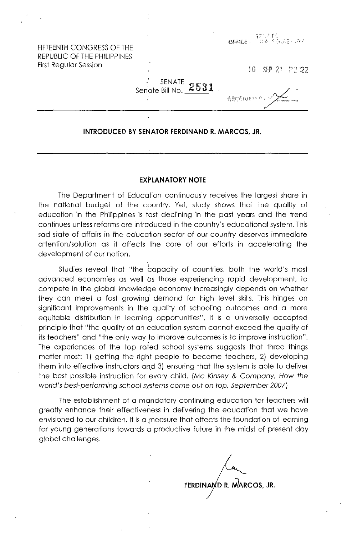FIFTEENTH CONGRESS OF THE REPUBLIC OF THE PHILIPPINES First Regular Session

**特度化FAVE 33 CL** 

10 SFP 21 22:22

SENATE<br>25 Senate Bill No.

## **INTRODUCED BY SENATOR FERDINAND R. MARCOS, JR.**

## **EXPLANATORY NOTE**

The Department of Education continuously receives the largest share in the national budget of the country. Yet, study shows that the quality of education in the Philippines is fast declining in the past years and the trend continues unless reforms are introduced in the country's educational system. This sad state of affairs in the education sector of our country deserves immediate attention/solution as it affects the core of our efforts in accelerating the development of our nation.

Studies reveal that "the capacity of countries, both the world's most advanced economies as well as those experiencing rapid development. to compete in the global knowledge economy increasingly depends on whether they can meet a fast growing demand for high level skills. This hinges on significant improvements in the quality of schooling outcomes and a more equitable distribution in learning opportunities". It is a universally accepted principle that "the quality of an education system cannot exceed the quality of its teachers" and "the only way to improve outcomes is to improve instruction". The experiences of the top rated school systems suggests that three things matter most: 1) getting the right people to become teachers, 2) developing them into effective instructors and 3) ensuring that the system is able to deliver the best possible instruction for every child. (Mc Kinsey & Company. How the world's best-performing school systems come out on top, September 2007)

The establishment of a mdndatory continuing education for teachers will greatly enhance their effectiveness in delivering the education that we have envisioned to our children, It is a measure that affects the foundation of learning for young generations towards a productive future in the midst of present day global challenges,

**FERDINA D R. NJARCOS, JR.**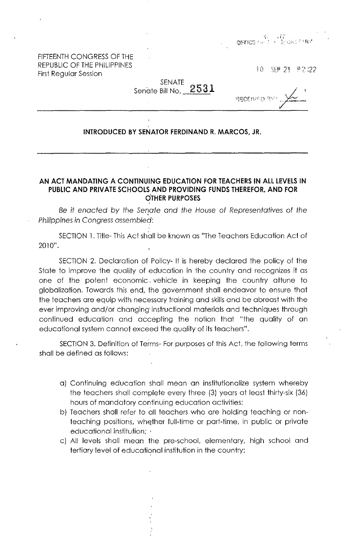FIFTEENTH CONGRESS OF THE REPUBLIC OF THE PHILIPPINES First Regular Session

SEP 21 #2:22  $10-$ 

SENATE Senate Bill No.

arics (10)<br>Cartics (2) (19)

## **INTRODUCED BY SENATOR FERDINAND R. MARCOS, JR.**

## **AN ACT MANDATING A CONTINUING EDUCATION FOR TEACHERS IN ALL LEVELS IN PUBLIC AND PRIVATE SCHOOLS AND PROVIDING FUNDS THEREFOR, AND FOR OTHER PURPOSES**

Be it enacted by the Senate and the House of Representatives of the Philippines in Congress assembled:

SECTION 1. Title- This Act shall be known as "The Teachers Education Act of 2010".

SECTION 2. Declaration of Policy- It is hereby declared the policy of the State to improve the quality of education in the country and recognizes it as one of the potent economic. vehicle in keeping the country attune to globalization. Towards this end, the government shall endeavor to ensure that the teachers are equip with necessary training and skills and be abreast with the ever improving and/or changing' instructional materials and techniques through continued education and accepting the notion that "the quality of an educational system cannot exceed the quality of its teachers".

SECTION 3. Definition of Terms- For purposes of this Act, the following terms shall be defined as follows:

- a) Continuing education shall mean an institutionalize system whereby the teachers shall complete every three (3) years at least thirty-six (36) hours of mandatory continuing education activities;
- b) Teachers shall refer to all teachers who are holding teaching or nonteaching positions, whether full-time or part-time, in public or private educational institution;  $\cdot$
- c) All levels shall mean the pre-school, elementary, high school and tertiary level of educational institution in the country;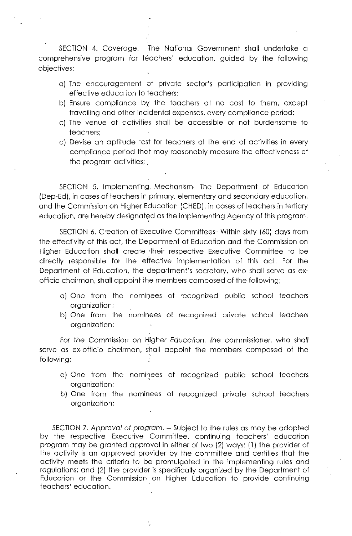SECTION 4. Coverage. The National Government shall undertake a comprehensive program for teachers' education, guided by the following objectives:

- a) The encouragement of private sector's participation in providing effective education to teachers;
- b) Ensure compliance by the teachers at no cost to them, except travelling and other incidental expenses, every compliance period;
- c) The venue of activities shall be accessible or not burdensome to teachers;
- d) Devise an aptitude test for teachers at the end of activities in every compliance period that may reasonably measure the effectiveness of the program activities;

SECTION 5. Implementing. Mechanism- The Department of Education (Dep-Ed), in cases of teachers in primary, elementary and secondary education, and the Commission on Higher Education (CHED), in cases of teachers in tertiary education, are hereby designated as the implementing Agency of this program.

SECTION 6. Creation of Executive Committees- Within sixty (60) days from the effectivity of this act, the Department of Education and the Commission on Higher Education shall create ·their respective Executive Committee to be directly responsible for the effective implementation of this act. For the Department of Education, the department's secretary, who shall serve as exofficio chairman, shall appoint the members composed of the following;

- a) One from the nominees of recognized public school teachers organization;
- b) One from the nominees of recognized private school teachers organization;

For the Commission on Higher Education, the commissioner, who shall serve as ex-officio chairman, shall appoint the members composed of the following;

- a) One from the nominees of recognized public school teachers organization;
- b) One from the nominees of recognized private school teachers organization;

SECTION 7. Approval of program. -- Subject to the rules as may be adopted by the respective Executive Committee, continuing teachers' education program may be granted approval in either of two (2) ways: (1) the provider of the activity is an approved provider by the committee and certifies that the activity meets the criteria to be promulgated in the implementing rules and regUlations; and (2) the provider is specifically organized by the Department of Education or the Commission on Higher Education to provide continuing teachers' education.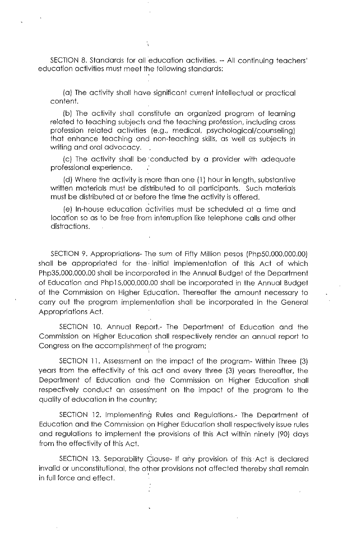SECTION 8. Standards for all education activities. -- All continuing teachers' education activities must meet the following standards:

(a) The activity shall have significant current intellectual or practical content.

(b) The activity shall constitute an organized program of learning related to teaching subjects and the teaching profession, including cross profession related activities (e.g., medical, psychological/counseling) that enhance teaching and non-teaching skills, as well as subjects in writing and oral advocacy.

(c) The activity shall be 'conducted by a provider with adequate professional experience.

(d) Where the activity is more than one  $(1)$  hour in length, substantive written materials must be distributed to all participants. Such materials must be distributed at or before the time the activity is offered.

(e) In-house education activities must be scheduled at a time and location so as to be free from interruption like telephone calls and other distractions.

SECTION 9. Appropriations- The sum of Fifty Million pesos (Php50,000,000.00) shall be appropriated for the· initial implementation of this Act of which Php35,000,000.00 shall be incorporated in the Annual Budget of the Department of Education and Php 15,000,000.00 shall be incorporated in the Annual Budget of the Commission on Higher Education. Thereafter the amount necessary to carry out the program implementation shall be incorporated in the General Appropriations Act.

SECTION 10. Annual Report.- The Department of Education and the Commission on Higher Education shall respectively render an annual report to Congress on the accomplishment of the program;

SECTION 11. Assessment on the impact of the program- Within Three (3) years from the effectivity of this act and every three (3) years thereafter, the Department of Education and· the Commission on Higher Education shall respectively conduct an assess'ment on the impact of the program to the quality of education in the country;

SECTION 12. Implementing Rules and Regulations.- The Department of Education and the Commission on Higher Education shall respectively issue rules and regulations to implement the provisions of this Act within ninety (90) days from the effectivity of this Act.

SECTION 13. Separability Clause- If any provision of this Act is declared invalid or unconstitutional, the other provisions not affected thereby shall remain in full force and effect.